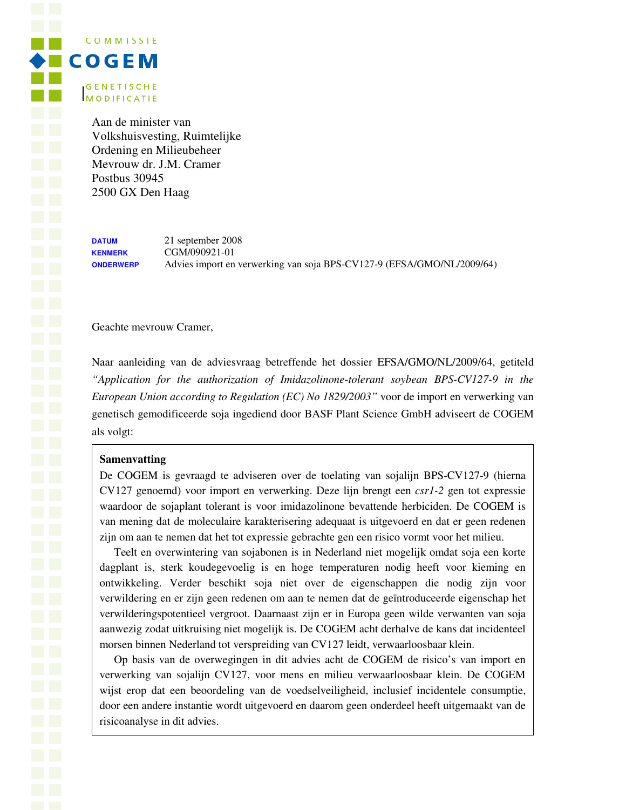**COMMISSIE**  $\blacklozenge$  **B C O G E M GENETISCHE MODIFICATIE** 

> Aan de minister van Volkshuisvesting, Ruimtelijke Ordening en Milieubeheer Mevrouw dr. J.M. Cramer Postbus 30945 2500 GX Den Haag

**DATUM** 21 september 2008 **KENMERK** CGM/090921-01 **ONDERWERP** Advies import en verwerking van soja BPS-CV127-9 (EFSA/GMO/NL/2009/64)

Geachte mevrouw Cramer,

Naar aanleiding van de adviesvraag betreffende het dossier EFSA/GMO/NL/2009/64, getiteld *"Application for the authorization of Imidazolinone-tolerant soybean BPS-CV127-9 in the European Union according to Regulation (EC) No 1829/2003"* voor de import en verwerking van genetisch gemodificeerde soja ingediend door BASF Plant Science GmbH adviseert de COGEM als volgt:

### **Samenvatting**

De COGEM is gevraagd te adviseren over de toelating van sojalijn BPS-CV127-9 (hierna CV127 genoemd) voor import en verwerking. Deze lijn brengt een *csr1-2* gen tot expressie waardoor de sojaplant tolerant is voor imidazolinone bevattende herbiciden. De COGEM is van mening dat de moleculaire karakterisering adequaat is uitgevoerd en dat er geen redenen zijn om aan te nemen dat het tot expressie gebrachte gen een risico vormt voor het milieu.

Teelt en overwintering van sojabonen is in Nederland niet mogelijk omdat soja een korte dagplant is, sterk koudegevoelig is en hoge temperaturen nodig heeft voor kieming en ontwikkeling. Verder beschikt soja niet over de eigenschappen die nodig zijn voor verwildering en er zijn geen redenen om aan te nemen dat de geïntroduceerde eigenschap het verwilderingspotentieel vergroot. Daarnaast zijn er in Europa geen wilde verwanten van soja aanwezig zodat uitkruising niet mogelijk is. De COGEM acht derhalve de kans dat incidenteel morsen binnen Nederland tot verspreiding van CV127 leidt, verwaarloosbaar klein.

Op basis van de overwegingen in dit advies acht de COGEM de risico's van import en verwerking van sojalijn CV127, voor mens en milieu verwaarloosbaar klein. De COGEM wijst erop dat een beoordeling van de voedselveiligheid, inclusief incidentele consumptie, door een andere instantie wordt uitgevoerd en daarom geen onderdeel heeft uitgemaakt van de risicoanalyse in dit advies.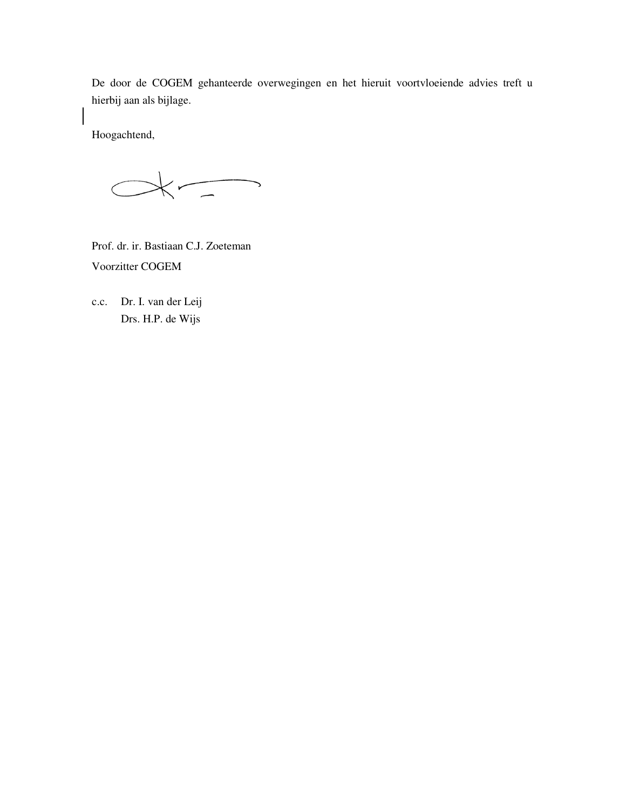De door de COGEM gehanteerde overwegingen en het hieruit voortvloeiende advies treft u hierbij aan als bijlage.

Hoogachtend,

 $\left\langle \begin{array}{c} \hline \hline \hline \hline \end{array} \right\rangle$  $\big($ 

Prof. dr. ir. Bastiaan C.J. Zoeteman Voorzitter COGEM

c.c. Dr. I. van der Leij Drs. H.P. de Wijs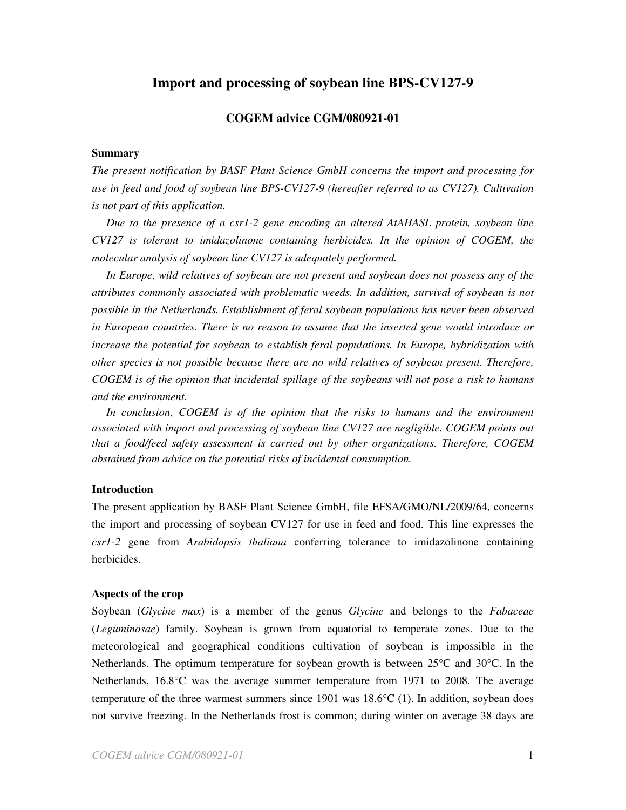# **Import and processing of soybean line BPS-CV127-9**

## **COGEM advice CGM/080921-01**

#### **Summary**

*The present notification by BASF Plant Science GmbH concerns the import and processing for use in feed and food of soybean line BPS-CV127-9 (hereafter referred to as CV127). Cultivation is not part of this application.* 

*Due to the presence of a csr1-2 gene encoding an altered AtAHASL protein, soybean line CV127 is tolerant to imidazolinone containing herbicides. In the opinion of COGEM, the molecular analysis of soybean line CV127 is adequately performed.* 

*In Europe, wild relatives of soybean are not present and soybean does not possess any of the attributes commonly associated with problematic weeds. In addition, survival of soybean is not possible in the Netherlands. Establishment of feral soybean populations has never been observed in European countries. There is no reason to assume that the inserted gene would introduce or increase the potential for soybean to establish feral populations. In Europe, hybridization with other species is not possible because there are no wild relatives of soybean present. Therefore, COGEM is of the opinion that incidental spillage of the soybeans will not pose a risk to humans and the environment.* 

In conclusion, COGEM is of the opinion that the risks to humans and the environment associated with import and processing of soybean line CV127 are negligible. COGEM points out *that a food/feed safety assessment is carried out by other organizations. Therefore, COGEM abstained from advice on the potential risks of incidental consumption.* 

### **Introduction**

The present application by BASF Plant Science GmbH, file EFSA/GMO/NL/2009/64, concerns the import and processing of soybean CV127 for use in feed and food. This line expresses the *csr1-2* gene from *Arabidopsis thaliana* conferring tolerance to imidazolinone containing herbicides.

#### **Aspects of the crop**

Soybean (*Glycine max*) is a member of the genus *Glycine* and belongs to the *Fabaceae*  (*Leguminosae*) family. Soybean is grown from equatorial to temperate zones. Due to the meteorological and geographical conditions cultivation of soybean is impossible in the Netherlands. The optimum temperature for soybean growth is between 25°C and 30°C. In the Netherlands, 16.8°C was the average summer temperature from 1971 to 2008. The average temperature of the three warmest summers since 1901 was  $18.6^{\circ}C(1)$ . In addition, soybean does not survive freezing. In the Netherlands frost is common; during winter on average 38 days are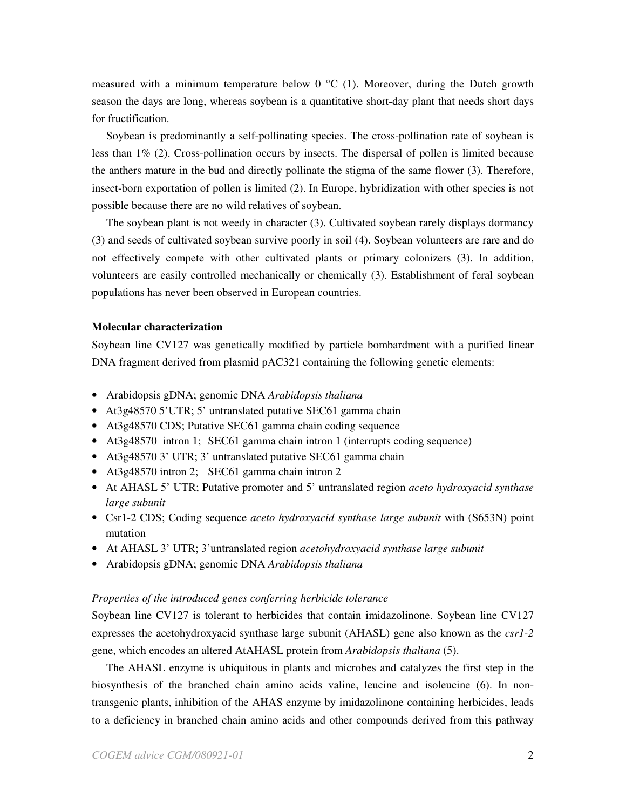measured with a minimum temperature below  $0^{\circ}C(1)$ . Moreover, during the Dutch growth season the days are long, whereas soybean is a quantitative short-day plant that needs short days for fructification.

Soybean is predominantly a self-pollinating species. The cross-pollination rate of soybean is less than 1% (2). Cross-pollination occurs by insects. The dispersal of pollen is limited because the anthers mature in the bud and directly pollinate the stigma of the same flower (3). Therefore, insect-born exportation of pollen is limited (2). In Europe, hybridization with other species is not possible because there are no wild relatives of soybean.

The soybean plant is not weedy in character (3). Cultivated soybean rarely displays dormancy (3) and seeds of cultivated soybean survive poorly in soil (4). Soybean volunteers are rare and do not effectively compete with other cultivated plants or primary colonizers (3). In addition, volunteers are easily controlled mechanically or chemically (3). Establishment of feral soybean populations has never been observed in European countries.

### **Molecular characterization**

Soybean line CV127 was genetically modified by particle bombardment with a purified linear DNA fragment derived from plasmid pAC321 containing the following genetic elements:

- Arabidopsis gDNA; genomic DNA *Arabidopsis thaliana*
- At3g48570 5'UTR; 5' untranslated putative SEC61 gamma chain
- At3g48570 CDS; Putative SEC61 gamma chain coding sequence
- At3g48570 intron 1; SEC61 gamma chain intron 1 (interrupts coding sequence)
- At3g48570 3' UTR; 3' untranslated putative SEC61 gamma chain
- At3g48570 intron 2; SEC61 gamma chain intron 2
- At AHASL 5' UTR; Putative promoter and 5' untranslated region *aceto hydroxyacid synthase large subunit*
- Csr1-2 CDS; Coding sequence *aceto hydroxyacid synthase large subunit* with (S653N) point mutation
- At AHASL 3' UTR; 3'untranslated region *acetohydroxyacid synthase large subunit*
- Arabidopsis gDNA; genomic DNA *Arabidopsis thaliana*

#### *Properties of the introduced genes conferring herbicide tolerance*

Soybean line CV127 is tolerant to herbicides that contain imidazolinone. Soybean line CV127 expresses the acetohydroxyacid synthase large subunit (AHASL) gene also known as the *csr1-2*  gene, which encodes an altered AtAHASL protein from *Arabidopsis thaliana* (5).

The AHASL enzyme is ubiquitous in plants and microbes and catalyzes the first step in the biosynthesis of the branched chain amino acids valine, leucine and isoleucine (6). In nontransgenic plants, inhibition of the AHAS enzyme by imidazolinone containing herbicides, leads to a deficiency in branched chain amino acids and other compounds derived from this pathway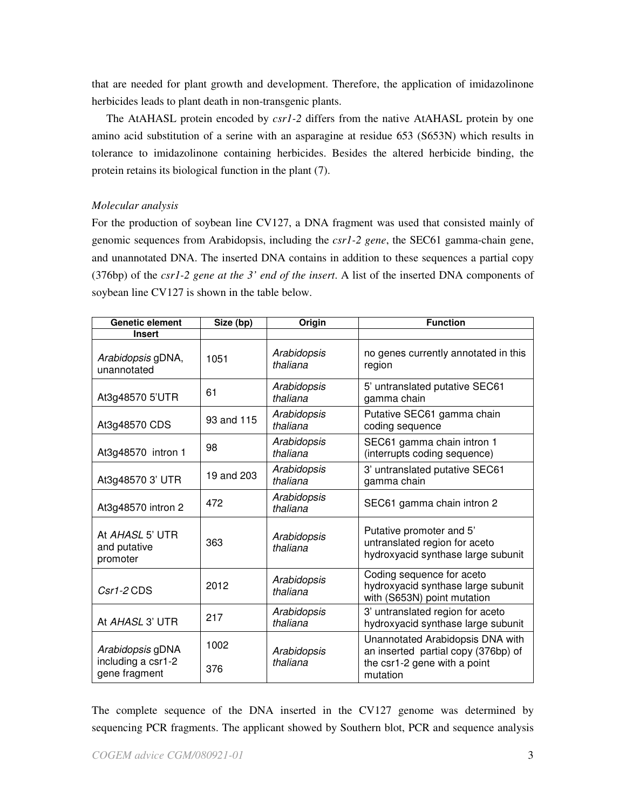that are needed for plant growth and development. Therefore, the application of imidazolinone herbicides leads to plant death in non-transgenic plants.

The AtAHASL protein encoded by *csr1-2* differs from the native AtAHASL protein by one amino acid substitution of a serine with an asparagine at residue 653 (S653N) which results in tolerance to imidazolinone containing herbicides. Besides the altered herbicide binding, the protein retains its biological function in the plant (7).

#### *Molecular analysis*

For the production of soybean line CV127, a DNA fragment was used that consisted mainly of genomic sequences from Arabidopsis, including the *csr1-2 gene*, the SEC61 gamma-chain gene, and unannotated DNA. The inserted DNA contains in addition to these sequences a partial copy (376bp) of the *csr1-2 gene at the 3' end of the insert*. A list of the inserted DNA components of soybean line CV127 is shown in the table below.

| <b>Genetic element</b>                                  | Size (bp)   | Origin                  | <b>Function</b>                                                                                                     |
|---------------------------------------------------------|-------------|-------------------------|---------------------------------------------------------------------------------------------------------------------|
| <b>Insert</b>                                           |             |                         |                                                                                                                     |
| Arabidopsis gDNA,<br>unannotated                        | 1051        | Arabidopsis<br>thaliana | no genes currently annotated in this<br>region                                                                      |
| At3g48570 5'UTR                                         | 61          | Arabidopsis<br>thaliana | 5' untranslated putative SEC61<br>gamma chain                                                                       |
| At3g48570 CDS                                           | 93 and 115  | Arabidopsis<br>thaliana | Putative SEC61 gamma chain<br>coding sequence                                                                       |
| At3g48570 intron 1                                      | 98          | Arabidopsis<br>thaliana | SEC61 gamma chain intron 1<br>(interrupts coding sequence)                                                          |
| At3g48570 3' UTR                                        | 19 and 203  | Arabidopsis<br>thaliana | 3' untranslated putative SEC61<br>gamma chain                                                                       |
| At3g48570 intron 2                                      | 472         | Arabidopsis<br>thaliana | SEC61 gamma chain intron 2                                                                                          |
| At AHASL 5' UTR<br>and putative<br>promoter             | 363         | Arabidopsis<br>thaliana | Putative promoter and 5'<br>untranslated region for aceto<br>hydroxyacid synthase large subunit                     |
| $Csr1-2$ CDS                                            | 2012        | Arabidopsis<br>thaliana | Coding sequence for aceto<br>hydroxyacid synthase large subunit<br>with (S653N) point mutation                      |
| At AHASL 3' UTR                                         | 217         | Arabidopsis<br>thaliana | 3' untranslated region for aceto<br>hydroxyacid synthase large subunit                                              |
| Arabidopsis gDNA<br>including a csr1-2<br>gene fragment | 1002<br>376 | Arabidopsis<br>thaliana | Unannotated Arabidopsis DNA with<br>an inserted partial copy (376bp) of<br>the csr1-2 gene with a point<br>mutation |

The complete sequence of the DNA inserted in the CV127 genome was determined by sequencing PCR fragments. The applicant showed by Southern blot, PCR and sequence analysis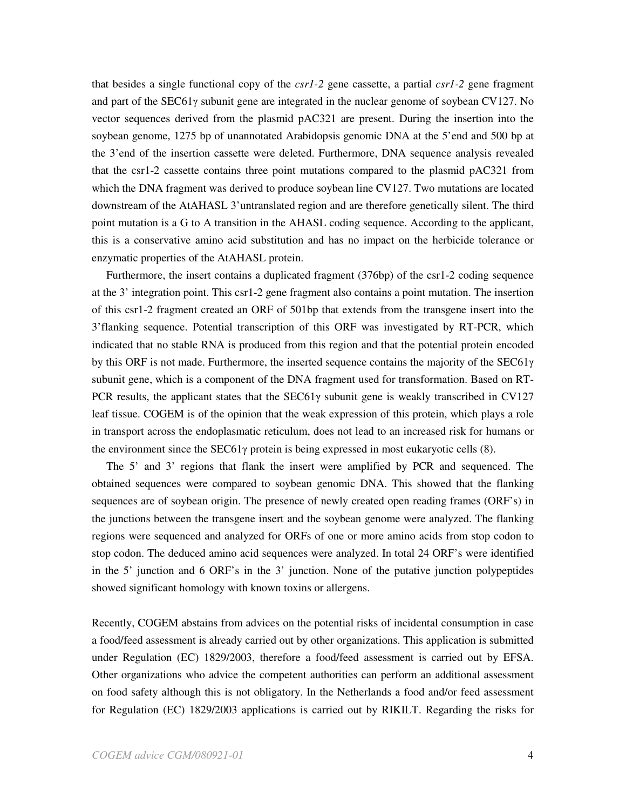that besides a single functional copy of the *csr1-2* gene cassette, a partial *csr1-2* gene fragment and part of the SEC61γ subunit gene are integrated in the nuclear genome of soybean CV127. No vector sequences derived from the plasmid pAC321 are present. During the insertion into the soybean genome, 1275 bp of unannotated Arabidopsis genomic DNA at the 5'end and 500 bp at the 3'end of the insertion cassette were deleted. Furthermore, DNA sequence analysis revealed that the csr1-2 cassette contains three point mutations compared to the plasmid pAC321 from which the DNA fragment was derived to produce soybean line CV127. Two mutations are located downstream of the AtAHASL 3'untranslated region and are therefore genetically silent. The third point mutation is a G to A transition in the AHASL coding sequence. According to the applicant, this is a conservative amino acid substitution and has no impact on the herbicide tolerance or enzymatic properties of the AtAHASL protein.

Furthermore, the insert contains a duplicated fragment (376bp) of the csr1-2 coding sequence at the 3' integration point. This csr1-2 gene fragment also contains a point mutation. The insertion of this csr1-2 fragment created an ORF of 501bp that extends from the transgene insert into the 3'flanking sequence. Potential transcription of this ORF was investigated by RT-PCR, which indicated that no stable RNA is produced from this region and that the potential protein encoded by this ORF is not made. Furthermore, the inserted sequence contains the majority of the SEC61 $\gamma$ subunit gene, which is a component of the DNA fragment used for transformation. Based on RT-PCR results, the applicant states that the SEC61 $\gamma$  subunit gene is weakly transcribed in CV127 leaf tissue. COGEM is of the opinion that the weak expression of this protein, which plays a role in transport across the endoplasmatic reticulum, does not lead to an increased risk for humans or the environment since the SEC61 $\gamma$  protein is being expressed in most eukaryotic cells (8).

 The 5' and 3' regions that flank the insert were amplified by PCR and sequenced. The obtained sequences were compared to soybean genomic DNA. This showed that the flanking sequences are of soybean origin. The presence of newly created open reading frames (ORF's) in the junctions between the transgene insert and the soybean genome were analyzed. The flanking regions were sequenced and analyzed for ORFs of one or more amino acids from stop codon to stop codon. The deduced amino acid sequences were analyzed. In total 24 ORF's were identified in the 5' junction and 6 ORF's in the 3' junction. None of the putative junction polypeptides showed significant homology with known toxins or allergens.

Recently, COGEM abstains from advices on the potential risks of incidental consumption in case a food/feed assessment is already carried out by other organizations. This application is submitted under Regulation (EC) 1829/2003, therefore a food/feed assessment is carried out by EFSA. Other organizations who advice the competent authorities can perform an additional assessment on food safety although this is not obligatory. In the Netherlands a food and/or feed assessment for Regulation (EC) 1829/2003 applications is carried out by RIKILT. Regarding the risks for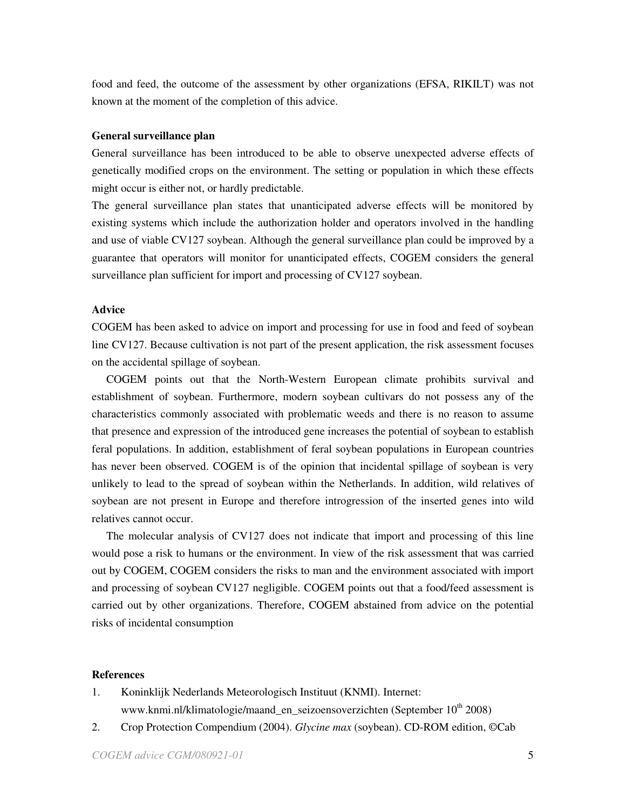food and feed, the outcome of the assessment by other organizations (EFSA, RIKILT) was not known at the moment of the completion of this advice.

### **General surveillance plan**

General surveillance has been introduced to be able to observe unexpected adverse effects of genetically modified crops on the environment. The setting or population in which these effects might occur is either not, or hardly predictable.

The general surveillance plan states that unanticipated adverse effects will be monitored by existing systems which include the authorization holder and operators involved in the handling and use of viable CV127 soybean. Although the general surveillance plan could be improved by a guarantee that operators will monitor for unanticipated effects, COGEM considers the general surveillance plan sufficient for import and processing of CV127 soybean.

## **Advice**

COGEM has been asked to advice on import and processing for use in food and feed of soybean line CV127. Because cultivation is not part of the present application, the risk assessment focuses on the accidental spillage of soybean.

COGEM points out that the North-Western European climate prohibits survival and establishment of soybean. Furthermore, modern soybean cultivars do not possess any of the characteristics commonly associated with problematic weeds and there is no reason to assume that presence and expression of the introduced gene increases the potential of soybean to establish feral populations. In addition, establishment of feral soybean populations in European countries has never been observed. COGEM is of the opinion that incidental spillage of soybean is very unlikely to lead to the spread of soybean within the Netherlands. In addition, wild relatives of soybean are not present in Europe and therefore introgression of the inserted genes into wild relatives cannot occur.

The molecular analysis of CV127 does not indicate that import and processing of this line would pose a risk to humans or the environment. In view of the risk assessment that was carried out by COGEM, COGEM considers the risks to man and the environment associated with import and processing of soybean CV127 negligible. COGEM points out that a food/feed assessment is carried out by other organizations. Therefore, COGEM abstained from advice on the potential risks of incidental consumption

### **References**

- 1. Koninklijk Nederlands Meteorologisch Instituut (KNMI). Internet: www.knmi.nl/klimatologie/maand\_en\_seizoensoverzichten (September 10<sup>th</sup> 2008)
- 2. Crop Protection Compendium (2004). *Glycine max* (soybean). CD-ROM edition, ©Cab